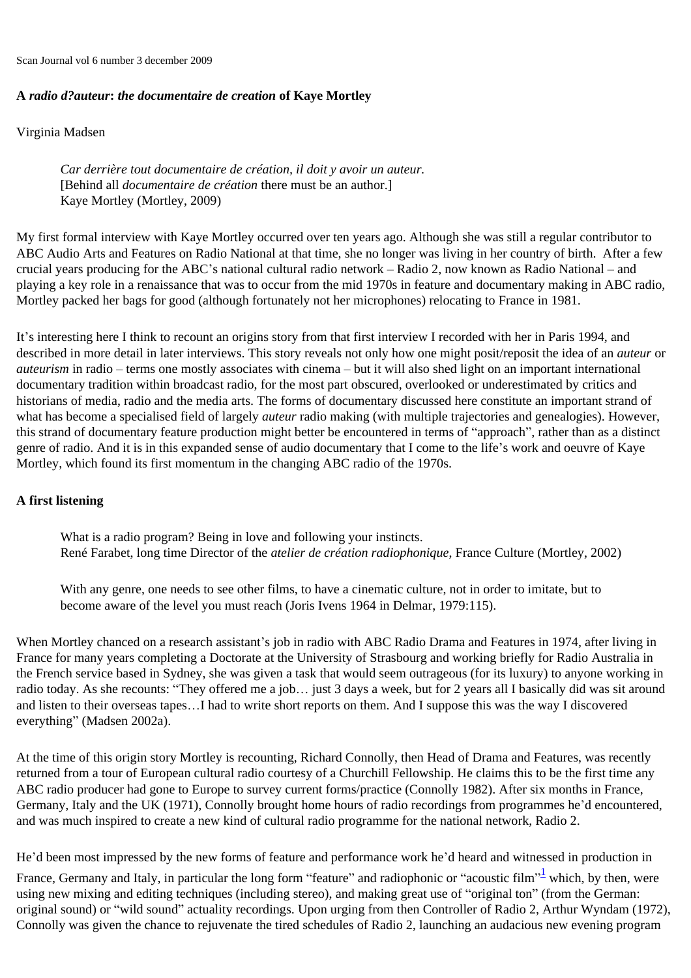Scan Journal vol 6 number 3 december 2009

## **A** *radio d?auteur***:** *the documentaire de creation* **of Kaye Mortley**

Virginia Madsen

*Car derrière tout documentaire de création, il doit y avoir un auteur.* [Behind all *documentaire de création* there must be an author.] Kaye Mortley (Mortley, 2009)

My first formal interview with Kaye Mortley occurred over ten years ago. Although she was still a regular contributor to ABC Audio Arts and Features on Radio National at that time, she no longer was living in her country of birth. After a few crucial years producing for the ABC's national cultural radio network – Radio 2, now known as Radio National – and playing a key role in a renaissance that was to occur from the mid 1970s in feature and documentary making in ABC radio, Mortley packed her bags for good (although fortunately not her microphones) relocating to France in 1981.

It's interesting here I think to recount an origins story from that first interview I recorded with her in Paris 1994, and described in more detail in later interviews. This story reveals not only how one might posit/reposit the idea of an *auteur* or *auteurism* in radio – terms one mostly associates with cinema – but it will also shed light on an important international documentary tradition within broadcast radio, for the most part obscured, overlooked or underestimated by critics and historians of media, radio and the media arts. The forms of documentary discussed here constitute an important strand of what has become a specialised field of largely *auteur* radio making (with multiple trajectories and genealogies). However, this strand of documentary feature production might better be encountered in terms of "approach", rather than as a distinct genre of radio. And it is in this expanded sense of audio documentary that I come to the life's work and oeuvre of Kaye Mortley, which found its first momentum in the changing ABC radio of the 1970s.

## **A first listening**

What is a radio program? Being in love and following your instincts. René Farabet, long time Director of the *atelier de création radiophonique*, France Culture (Mortley, 2002)

With any genre, one needs to see other films, to have a cinematic culture, not in order to imitate, but to become aware of the level you must reach (Joris Ivens 1964 in Delmar, 1979:115).

When Mortley chanced on a research assistant's job in radio with ABC Radio Drama and Features in 1974, after living in France for many years completing a Doctorate at the University of Strasbourg and working briefly for Radio Australia in the French service based in Sydney, she was given a task that would seem outrageous (for its luxury) to anyone working in radio today. As she recounts: "They offered me a job… just 3 days a week, but for 2 years all I basically did was sit around and listen to their overseas tapes…I had to write short reports on them. And I suppose this was the way I discovered everything" (Madsen 2002a).

At the time of this origin story Mortley is recounting, Richard Connolly, then Head of Drama and Features, was recently returned from a tour of European cultural radio courtesy of a Churchill Fellowship. He claims this to be the first time any ABC radio producer had gone to Europe to survey current forms/practice (Connolly 1982). After six months in France, Germany, Italy and the UK (1971), Connolly brought home hours of radio recordings from programmes he'd encountered, and was much inspired to create a new kind of cultural radio programme for the national network, Radio 2.

He'd been most impressed by the new forms of feature and performance work he'd heard and witnessed in production in

<span id="page-0-0"></span>France, Germany and Italy, in particular the long form "feature" and radiophonic or "acoustic film"<sup>[1](#page-11-0)</sup> which, by then, were using new mixing and editing techniques (including stereo), and making great use of "original ton" (from the German: original sound) or "wild sound" actuality recordings. Upon urging from then Controller of Radio 2, Arthur Wyndam (1972), Connolly was given the chance to rejuvenate the tired schedules of Radio 2, launching an audacious new evening program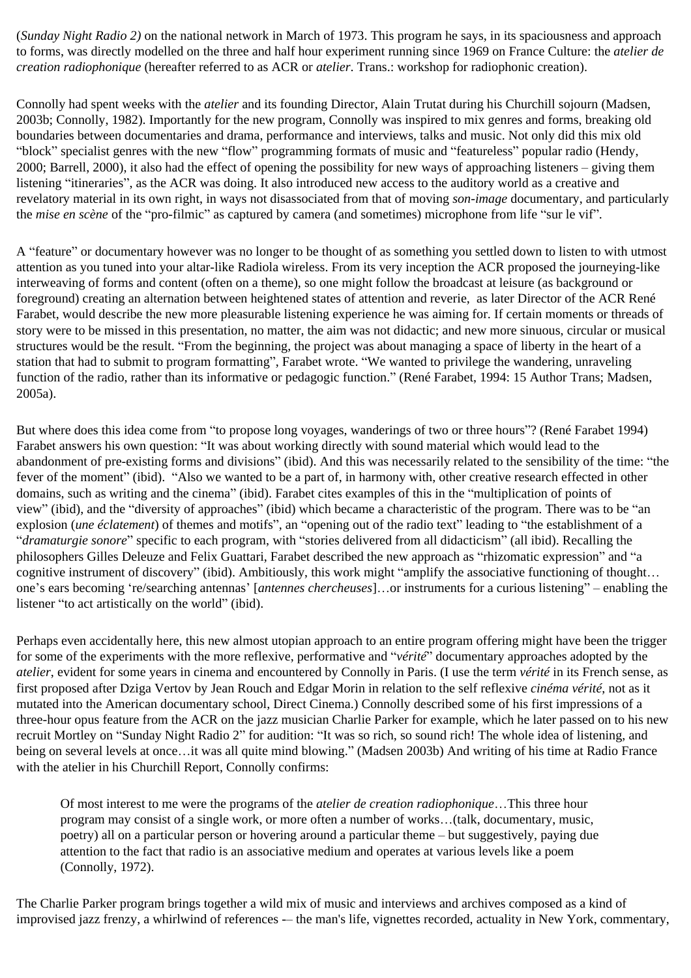(*Sunday Night Radio 2)* on the national network in March of 1973. This program he says, in its spaciousness and approach to forms, was directly modelled on the three and half hour experiment running since 1969 on France Culture: the *atelier de creation radiophonique* (hereafter referred to as ACR or *atelier*. Trans.: workshop for radiophonic creation).

Connolly had spent weeks with the *atelier* and its founding Director, Alain Trutat during his Churchill sojourn (Madsen, 2003b; Connolly, 1982). Importantly for the new program, Connolly was inspired to mix genres and forms, breaking old boundaries between documentaries and drama, performance and interviews, talks and music. Not only did this mix old "block" specialist genres with the new "flow" programming formats of music and "featureless" popular radio (Hendy, 2000; Barrell, 2000), it also had the effect of opening the possibility for new ways of approaching listeners – giving them listening "itineraries", as the ACR was doing. It also introduced new access to the auditory world as a creative and revelatory material in its own right, in ways not disassociated from that of moving *son-image* documentary, and particularly the *mise en scène* of the "pro-filmic" as captured by camera (and sometimes) microphone from life "sur le vif".

A "feature" or documentary however was no longer to be thought of as something you settled down to listen to with utmost attention as you tuned into your altar-like Radiola wireless. From its very inception the ACR proposed the journeying-like interweaving of forms and content (often on a theme), so one might follow the broadcast at leisure (as background or foreground) creating an alternation between heightened states of attention and reverie, as later Director of the ACR René Farabet, would describe the new more pleasurable listening experience he was aiming for. If certain moments or threads of story were to be missed in this presentation, no matter, the aim was not didactic; and new more sinuous, circular or musical structures would be the result. "From the beginning, the project was about managing a space of liberty in the heart of a station that had to submit to program formatting", Farabet wrote. "We wanted to privilege the wandering, unraveling function of the radio, rather than its informative or pedagogic function." (René Farabet, 1994: 15 Author Trans; Madsen, 2005a).

But where does this idea come from "to propose long voyages, wanderings of two or three hours"? (René Farabet 1994) Farabet answers his own question: "It was about working directly with sound material which would lead to the abandonment of pre-existing forms and divisions" (ibid). And this was necessarily related to the sensibility of the time: "the fever of the moment" (ibid). "Also we wanted to be a part of, in harmony with, other creative research effected in other domains, such as writing and the cinema" (ibid). Farabet cites examples of this in the "multiplication of points of view" (ibid), and the "diversity of approaches" (ibid) which became a characteristic of the program. There was to be "an explosion (*une éclatement*) of themes and motifs", an "opening out of the radio text" leading to "the establishment of a "*dramaturgie sonore*" specific to each program, with "stories delivered from all didacticism" (all ibid). Recalling the philosophers Gilles Deleuze and Felix Guattari, Farabet described the new approach as "rhizomatic expression" and "a cognitive instrument of discovery" (ibid). Ambitiously, this work might "amplify the associative functioning of thought… one's ears becoming 're/searching antennas' [*antennes chercheuses*]…or instruments for a curious listening" – enabling the listener "to act artistically on the world" (ibid).

Perhaps even accidentally here, this new almost utopian approach to an entire program offering might have been the trigger for some of the experiments with the more reflexive, performative and "*vérité*" documentary approaches adopted by the *atelier*, evident for some years in cinema and encountered by Connolly in Paris. (I use the term *vérité* in its French sense, as first proposed after Dziga Vertov by Jean Rouch and Edgar Morin in relation to the self reflexive *cinéma vérité*, not as it mutated into the American documentary school, Direct Cinema.) Connolly described some of his first impressions of a three-hour opus feature from the ACR on the jazz musician Charlie Parker for example, which he later passed on to his new recruit Mortley on "Sunday Night Radio 2" for audition: "It was so rich, so sound rich! The whole idea of listening, and being on several levels at once…it was all quite mind blowing." (Madsen 2003b) And writing of his time at Radio France with the atelier in his Churchill Report, Connolly confirms:

Of most interest to me were the programs of the *atelier de creation radiophonique*…This three hour program may consist of a single work, or more often a number of works…(talk, documentary, music, poetry) all on a particular person or hovering around a particular theme – but suggestively, paying due attention to the fact that radio is an associative medium and operates at various levels like a poem (Connolly, 1972).

The Charlie Parker program brings together a wild mix of music and interviews and archives composed as a kind of improvised jazz frenzy, a whirlwind of references -– the man's life, vignettes recorded, actuality in New York, commentary,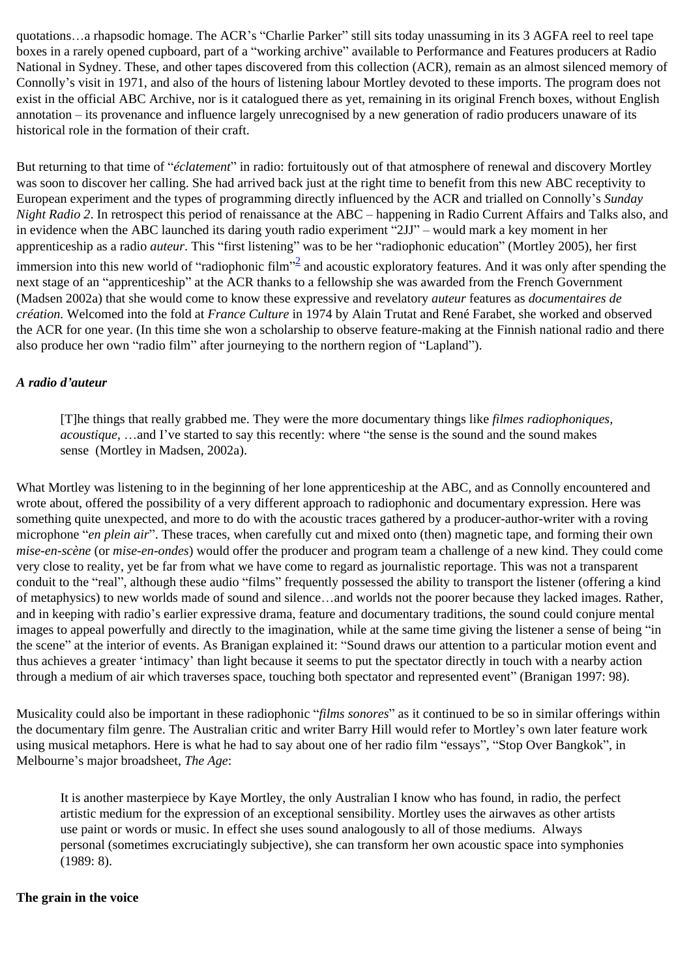quotations…a rhapsodic homage. The ACR's "Charlie Parker" still sits today unassuming in its 3 AGFA reel to reel tape boxes in a rarely opened cupboard, part of a "working archive" available to Performance and Features producers at Radio National in Sydney. These, and other tapes discovered from this collection (ACR), remain as an almost silenced memory of Connolly's visit in 1971, and also of the hours of listening labour Mortley devoted to these imports. The program does not exist in the official ABC Archive, nor is it catalogued there as yet, remaining in its original French boxes, without English annotation – its provenance and influence largely unrecognised by a new generation of radio producers unaware of its historical role in the formation of their craft.

But returning to that time of "*éclatement*" in radio: fortuitously out of that atmosphere of renewal and discovery Mortley was soon to discover her calling. She had arrived back just at the right time to benefit from this new ABC receptivity to European experiment and the types of programming directly influenced by the ACR and trialled on Connolly's *Sunday Night Radio 2*. In retrospect this period of renaissance at the ABC – happening in Radio Current Affairs and Talks also, and in evidence when the ABC launched its daring youth radio experiment "2JJ" – would mark a key moment in her apprenticeship as a radio *auteur*. This "first listening" was to be her "radiophonic education" (Mortley 2005), her first immersion into this new world of "radiophonic film"<sup>[2](#page-11-1)</sup> and acoustic exploratory features. And it was only after spending the next stage of an "apprenticeship" at the ACR thanks to a fellowship she was awarded from the French Government (Madsen 2002a) that she would come to know these expressive and revelatory *auteur* features as *documentaires de création.* Welcomed into the fold at *France Culture* in 1974 by Alain Trutat and René Farabet, she worked and observed the ACR for one year. (In this time she won a scholarship to observe feature-making at the Finnish national radio and there also produce her own "radio film" after journeying to the northern region of "Lapland").

## <span id="page-2-0"></span>*A radio d'auteur*

[T]he things that really grabbed me. They were the more documentary things like *filmes radiophoniques, acoustique*, …and I've started to say this recently: where "the sense is the sound and the sound makes sense (Mortley in Madsen, 2002a).

What Mortley was listening to in the beginning of her lone apprenticeship at the ABC, and as Connolly encountered and wrote about, offered the possibility of a very different approach to radiophonic and documentary expression. Here was something quite unexpected, and more to do with the acoustic traces gathered by a producer-author-writer with a roving microphone "*en plein air*". These traces, when carefully cut and mixed onto (then) magnetic tape, and forming their own *mise-en-scène* (or *mise-en-ondes*) would offer the producer and program team a challenge of a new kind. They could come very close to reality, yet be far from what we have come to regard as journalistic reportage. This was not a transparent conduit to the "real", although these audio "films" frequently possessed the ability to transport the listener (offering a kind of metaphysics) to new worlds made of sound and silence…and worlds not the poorer because they lacked images. Rather, and in keeping with radio's earlier expressive drama, feature and documentary traditions, the sound could conjure mental images to appeal powerfully and directly to the imagination, while at the same time giving the listener a sense of being "in the scene" at the interior of events. As Branigan explained it: "Sound draws our attention to a particular motion event and thus achieves a greater 'intimacy' than light because it seems to put the spectator directly in touch with a nearby action through a medium of air which traverses space, touching both spectator and represented event" (Branigan 1997: 98).

Musicality could also be important in these radiophonic "*films sonores*" as it continued to be so in similar offerings within the documentary film genre. The Australian critic and writer Barry Hill would refer to Mortley's own later feature work using musical metaphors. Here is what he had to say about one of her radio film "essays", "Stop Over Bangkok", in Melbourne's major broadsheet, *The Age*:

It is another masterpiece by Kaye Mortley, the only Australian I know who has found, in radio, the perfect artistic medium for the expression of an exceptional sensibility. Mortley uses the airwaves as other artists use paint or words or music. In effect she uses sound analogously to all of those mediums. Always personal (sometimes excruciatingly subjective), she can transform her own acoustic space into symphonies (1989: 8).

#### **The grain in the voice**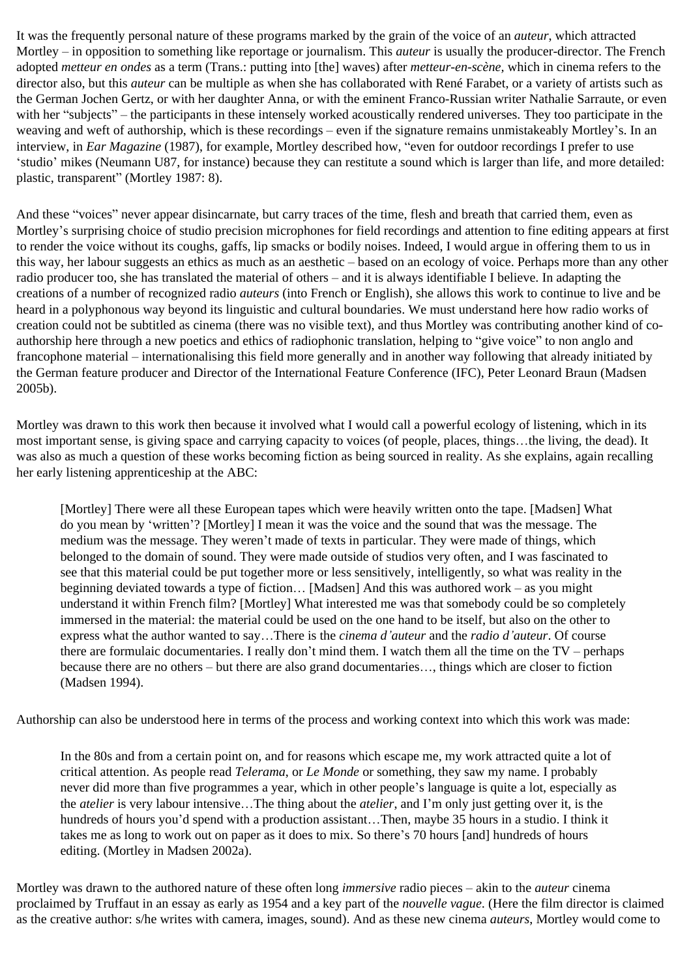It was the frequently personal nature of these programs marked by the grain of the voice of an *auteur*, which attracted Mortley – in opposition to something like reportage or journalism. This *auteur* is usually the producer-director. The French adopted *metteur en ondes* as a term (Trans.: putting into [the] waves) after *metteur-en-scène,* which in cinema refers to the director also, but this *auteur* can be multiple as when she has collaborated with René Farabet, or a variety of artists such as the German Jochen Gertz, or with her daughter Anna, or with the eminent Franco-Russian writer Nathalie Sarraute, or even with her "subjects" – the participants in these intensely worked acoustically rendered universes. They too participate in the weaving and weft of authorship, which is these recordings – even if the signature remains unmistakeably Mortley's. In an interview, in *Ear Magazine* (1987), for example, Mortley described how, "even for outdoor recordings I prefer to use 'studio' mikes (Neumann U87, for instance) because they can restitute a sound which is larger than life, and more detailed: plastic, transparent" (Mortley 1987: 8).

And these "voices" never appear disincarnate, but carry traces of the time, flesh and breath that carried them, even as Mortley's surprising choice of studio precision microphones for field recordings and attention to fine editing appears at first to render the voice without its coughs, gaffs, lip smacks or bodily noises. Indeed, I would argue in offering them to us in this way, her labour suggests an ethics as much as an aesthetic – based on an ecology of voice. Perhaps more than any other radio producer too, she has translated the material of others – and it is always identifiable I believe. In adapting the creations of a number of recognized radio *auteurs* (into French or English), she allows this work to continue to live and be heard in a polyphonous way beyond its linguistic and cultural boundaries. We must understand here how radio works of creation could not be subtitled as cinema (there was no visible text), and thus Mortley was contributing another kind of coauthorship here through a new poetics and ethics of radiophonic translation, helping to "give voice" to non anglo and francophone material – internationalising this field more generally and in another way following that already initiated by the German feature producer and Director of the International Feature Conference (IFC), Peter Leonard Braun (Madsen 2005b).

Mortley was drawn to this work then because it involved what I would call a powerful ecology of listening, which in its most important sense, is giving space and carrying capacity to voices (of people, places, things…the living, the dead). It was also as much a question of these works becoming fiction as being sourced in reality. As she explains, again recalling her early listening apprenticeship at the ABC:

[Mortley] There were all these European tapes which were heavily written onto the tape. [Madsen] What do you mean by 'written'? [Mortley] I mean it was the voice and the sound that was the message. The medium was the message. They weren't made of texts in particular. They were made of things, which belonged to the domain of sound. They were made outside of studios very often, and I was fascinated to see that this material could be put together more or less sensitively, intelligently, so what was reality in the beginning deviated towards a type of fiction… [Madsen] And this was authored work – as you might understand it within French film? [Mortley] What interested me was that somebody could be so completely immersed in the material: the material could be used on the one hand to be itself, but also on the other to express what the author wanted to say…There is the *cinema d'auteur* and the *radio d'auteur*. Of course there are formulaic documentaries. I really don't mind them. I watch them all the time on the TV – perhaps because there are no others – but there are also grand documentaries…, things which are closer to fiction (Madsen 1994).

Authorship can also be understood here in terms of the process and working context into which this work was made:

In the 80s and from a certain point on, and for reasons which escape me, my work attracted quite a lot of critical attention. As people read *Telerama*, or *Le Monde* or something, they saw my name. I probably never did more than five programmes a year, which in other people's language is quite a lot, especially as the *atelier* is very labour intensive…The thing about the *atelier*, and I'm only just getting over it, is the hundreds of hours you'd spend with a production assistant…Then, maybe 35 hours in a studio. I think it takes me as long to work out on paper as it does to mix. So there's 70 hours [and] hundreds of hours editing. (Mortley in Madsen 2002a).

Mortley was drawn to the authored nature of these often long *immersive* radio pieces – akin to the *auteur* cinema proclaimed by Truffaut in an essay as early as 1954 and a key part of the *nouvelle vague*. (Here the film director is claimed as the creative author: s/he writes with camera, images, sound). And as these new cinema *auteurs*, Mortley would come to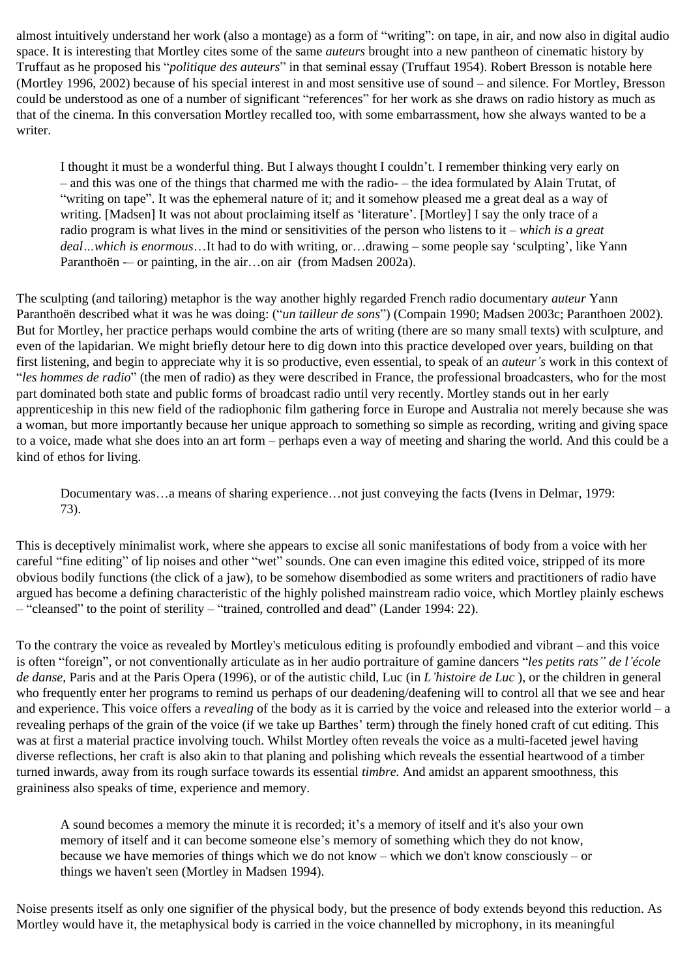almost intuitively understand her work (also a montage) as a form of "writing": on tape, in air, and now also in digital audio space. It is interesting that Mortley cites some of the same *auteurs* brought into a new pantheon of cinematic history by Truffaut as he proposed his "*politique des auteurs*" in that seminal essay (Truffaut 1954). Robert Bresson is notable here (Mortley 1996, 2002) because of his special interest in and most sensitive use of sound – and silence. For Mortley, Bresson could be understood as one of a number of significant "references" for her work as she draws on radio history as much as that of the cinema. In this conversation Mortley recalled too, with some embarrassment, how she always wanted to be a writer.

I thought it must be a wonderful thing. But I always thought I couldn't. I remember thinking very early on – and this was one of the things that charmed me with the radio- – the idea formulated by Alain Trutat, of "writing on tape". It was the ephemeral nature of it; and it somehow pleased me a great deal as a way of writing. [Madsen] It was not about proclaiming itself as 'literature'. [Mortley] I say the only trace of a radio program is what lives in the mind or sensitivities of the person who listens to it – *which is a great deal…which is enormous*…It had to do with writing, or…drawing – some people say 'sculpting', like Yann Paranthoën -– or painting, in the air…on air (from Madsen 2002a).

The sculpting (and tailoring) metaphor is the way another highly regarded French radio documentary *auteur* Yann Paranthoën described what it was he was doing: ("*un tailleur de sons*") (Compain 1990; Madsen 2003c; Paranthoen 2002). But for Mortley, her practice perhaps would combine the arts of writing (there are so many small texts) with sculpture, and even of the lapidarian. We might briefly detour here to dig down into this practice developed over years, building on that first listening, and begin to appreciate why it is so productive, even essential, to speak of an *auteur's* work in this context of "*les hommes de radio*" (the men of radio) as they were described in France, the professional broadcasters, who for the most part dominated both state and public forms of broadcast radio until very recently. Mortley stands out in her early apprenticeship in this new field of the radiophonic film gathering force in Europe and Australia not merely because she was a woman, but more importantly because her unique approach to something so simple as recording, writing and giving space to a voice, made what she does into an art form – perhaps even a way of meeting and sharing the world. And this could be a kind of ethos for living.

Documentary was…a means of sharing experience…not just conveying the facts (Ivens in Delmar, 1979: 73).

This is deceptively minimalist work, where she appears to excise all sonic manifestations of body from a voice with her careful "fine editing" of lip noises and other "wet" sounds. One can even imagine this edited voice, stripped of its more obvious bodily functions (the click of a jaw), to be somehow disembodied as some writers and practitioners of radio have argued has become a defining characteristic of the highly polished mainstream radio voice, which Mortley plainly eschews – "cleansed" to the point of sterility – "trained, controlled and dead" (Lander 1994: 22).

To the contrary the voice as revealed by Mortley's meticulous editing is profoundly embodied and vibrant – and this voice is often "foreign", or not conventionally articulate as in her audio portraiture of gamine dancers "*les petits rats" de l'école de danse*, Paris and at the Paris Opera (1996), or of the autistic child, Luc (in *L'histoire de Luc* ), or the children in general who frequently enter her programs to remind us perhaps of our deadening/deafening will to control all that we see and hear and experience. This voice offers a *revealing* of the body as it is carried by the voice and released into the exterior world – a revealing perhaps of the grain of the voice (if we take up Barthes' term) through the finely honed craft of cut editing. This was at first a material practice involving touch. Whilst Mortley often reveals the voice as a multi-faceted jewel having diverse reflections, her craft is also akin to that planing and polishing which reveals the essential heartwood of a timber turned inwards, away from its rough surface towards its essential *timbre.* And amidst an apparent smoothness, this graininess also speaks of time, experience and memory.

A sound becomes a memory the minute it is recorded; it's a memory of itself and it's also your own memory of itself and it can become someone else's memory of something which they do not know, because we have memories of things which we do not know – which we don't know consciously – or things we haven't seen (Mortley in Madsen 1994).

Noise presents itself as only one signifier of the physical body, but the presence of body extends beyond this reduction. As Mortley would have it, the metaphysical body is carried in the voice channelled by microphony, in its meaningful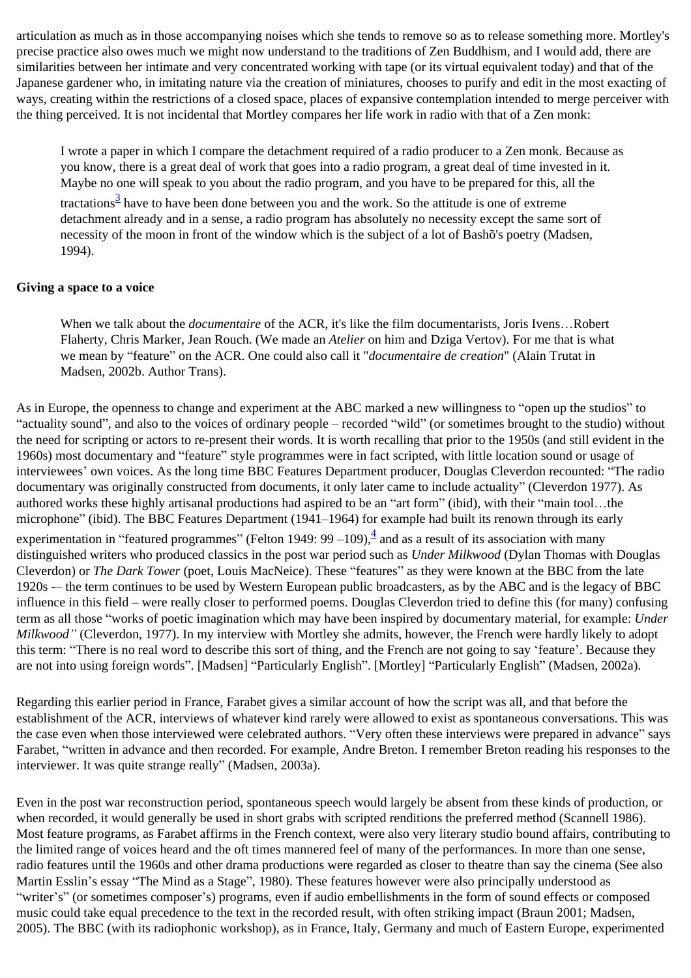articulation as much as in those accompanying noises which she tends to remove so as to release something more. Mortley's precise practice also owes much we might now understand to the traditions of Zen Buddhism, and I would add, there are similarities between her intimate and very concentrated working with tape (or its virtual equivalent today) and that of the Japanese gardener who, in imitating nature via the creation of miniatures, chooses to purify and edit in the most exacting of ways, creating within the restrictions of a closed space, places of expansive contemplation intended to merge perceiver with the thing perceived. It is not incidental that Mortley compares her life work in radio with that of a Zen monk:

I wrote a paper in which I compare the detachment required of a radio producer to a Zen monk. Because as you know, there is a great deal of work that goes into a radio program, a great deal of time invested in it. Maybe no one will speak to you about the radio program, and you have to be prepared for this, all the tractations<sup>[3](#page-11-2)</sup> have to have been done between you and the work. So the attitude is one of extreme detachment already and in a sense, a radio program has absolutely no necessity except the same sort of necessity of the moon in front of the window which is the subject of a lot of Bashõ's poetry (Madsen, 1994).

## <span id="page-5-0"></span>**Giving a space to a voice**

When we talk about the *documentaire* of the ACR, it's like the film documentarists, Joris Ivens…Robert Flaherty, Chris Marker, Jean Rouch. (We made an *Atelier* on him and Dziga Vertov). For me that is what we mean by "feature" on the ACR. One could also call it "*documentaire de creation*" (Alain Trutat in Madsen, 2002b. Author Trans).

<span id="page-5-1"></span>As in Europe, the openness to change and experiment at the ABC marked a new willingness to "open up the studios" to "actuality sound", and also to the voices of ordinary people – recorded "wild" (or sometimes brought to the studio) without the need for scripting or actors to re-present their words. It is worth recalling that prior to the 1950s (and still evident in the 1960s) most documentary and "feature" style programmes were in fact scripted, with little location sound or usage of interviewees' own voices. As the long time BBC Features Department producer, Douglas Cleverdon recounted: "The radio documentary was originally constructed from documents, it only later came to include actuality" (Cleverdon 1977). As authored works these highly artisanal productions had aspired to be an "art form" (ibid), with their "main tool…the microphone" (ibid). The BBC Features Department (1941–1964) for example had built its renown through its early experimentation in "featured programmes" (Felton 1949: 99 –109), $\frac{4}{5}$  and as a result of its association with many distinguished writers who produced classics in the post war period such as *Under Milkwood* (Dylan Thomas with Douglas Cleverdon) or *The Dark Tower* (poet, Louis MacNeice). These "features" as they were known at the BBC from the late 1920s -– the term continues to be used by Western European public broadcasters, as by the ABC and is the legacy of BBC influence in this field – were really closer to performed poems. Douglas Cleverdon tried to define this (for many) confusing term as all those "works of poetic imagination which may have been inspired by documentary material, for example: *Under Milkwood"* (Cleverdon, 1977). In my interview with Mortley she admits, however, the French were hardly likely to adopt this term: "There is no real word to describe this sort of thing, and the French are not going to say 'feature'. Because they are not into using foreign words". [Madsen] "Particularly English". [Mortley] "Particularly English" (Madsen, 2002a).

Regarding this earlier period in France, Farabet gives a similar account of how the script was all, and that before the establishment of the ACR, interviews of whatever kind rarely were allowed to exist as spontaneous conversations. This was the case even when those interviewed were celebrated authors. "Very often these interviews were prepared in advance" says Farabet, "written in advance and then recorded. For example, Andre Breton. I remember Breton reading his responses to the interviewer. It was quite strange really" (Madsen, 2003a).

Even in the post war reconstruction period, spontaneous speech would largely be absent from these kinds of production, or when recorded, it would generally be used in short grabs with scripted renditions the preferred method (Scannell 1986). Most feature programs, as Farabet affirms in the French context, were also very literary studio bound affairs, contributing to the limited range of voices heard and the oft times mannered feel of many of the performances. In more than one sense, radio features until the 1960s and other drama productions were regarded as closer to theatre than say the cinema (See also Martin Esslin's essay "The Mind as a Stage", 1980). These features however were also principally understood as "writer's" (or sometimes composer's) programs, even if audio embellishments in the form of sound effects or composed music could take equal precedence to the text in the recorded result, with often striking impact (Braun 2001; Madsen, 2005). The BBC (with its radiophonic workshop), as in France, Italy, Germany and much of Eastern Europe, experimented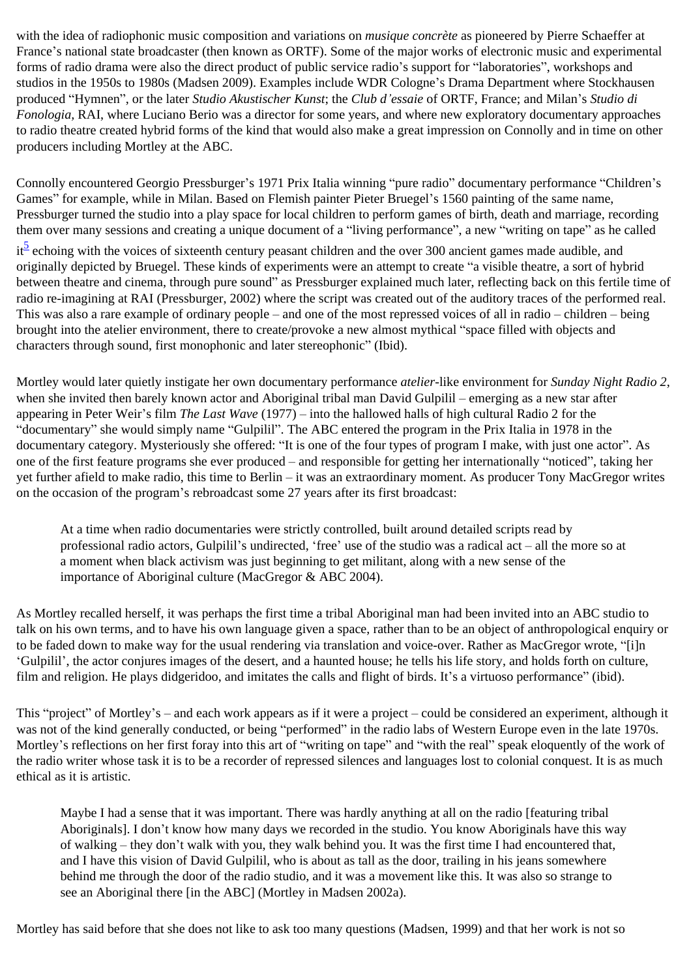with the idea of radiophonic music composition and variations on *musique concrète* as pioneered by Pierre Schaeffer at France's national state broadcaster (then known as ORTF). Some of the major works of electronic music and experimental forms of radio drama were also the direct product of public service radio's support for "laboratories", workshops and studios in the 1950s to 1980s (Madsen 2009). Examples include WDR Cologne's Drama Department where Stockhausen produced "Hymnen", or the later *Studio Akustischer Kunst*; the *Club d'essaie* of ORTF, France; and Milan's *Studio di Fonologia,* RAI, where Luciano Berio was a director for some years, and where new exploratory documentary approaches to radio theatre created hybrid forms of the kind that would also make a great impression on Connolly and in time on other producers including Mortley at the ABC.

Connolly encountered Georgio Pressburger's 1971 Prix Italia winning "pure radio" documentary performance "Children's Games" for example, while in Milan. Based on Flemish painter Pieter Bruegel's 1560 painting of the same name, Pressburger turned the studio into a play space for local children to perform games of birth, death and marriage, recording them over many sessions and creating a unique document of a "living performance", a new "writing on tape" as he called

<span id="page-6-0"></span>it<sup>5</sup> echoing with the voices of sixteenth century peasant children and the over 300 ancient games made audible, and originally depicted by Bruegel. These kinds of experiments were an attempt to create "a visible theatre, a sort of hybrid between theatre and cinema, through pure sound" as Pressburger explained much later, reflecting back on this fertile time of radio re-imagining at RAI (Pressburger, 2002) where the script was created out of the auditory traces of the performed real. This was also a rare example of ordinary people – and one of the most repressed voices of all in radio – children – being brought into the atelier environment, there to create/provoke a new almost mythical "space filled with objects and characters through sound, first monophonic and later stereophonic" (Ibid).

Mortley would later quietly instigate her own documentary performance *atelier*-like environment for *Sunday Night Radio 2*, when she invited then barely known actor and Aboriginal tribal man David Gulpilil – emerging as a new star after appearing in Peter Weir's film *The Last Wave* (1977) – into the hallowed halls of high cultural Radio 2 for the "documentary" she would simply name "Gulpilil". The ABC entered the program in the Prix Italia in 1978 in the documentary category. Mysteriously she offered: "It is one of the four types of program I make, with just one actor". As one of the first feature programs she ever produced – and responsible for getting her internationally "noticed", taking her yet further afield to make radio, this time to Berlin – it was an extraordinary moment. As producer Tony MacGregor writes on the occasion of the program's rebroadcast some 27 years after its first broadcast:

At a time when radio documentaries were strictly controlled, built around detailed scripts read by professional radio actors, Gulpilil's undirected, 'free' use of the studio was a radical act – all the more so at a moment when black activism was just beginning to get militant, along with a new sense of the importance of Aboriginal culture (MacGregor & ABC 2004).

As Mortley recalled herself, it was perhaps the first time a tribal Aboriginal man had been invited into an ABC studio to talk on his own terms, and to have his own language given a space, rather than to be an object of anthropological enquiry or to be faded down to make way for the usual rendering via translation and voice-over. Rather as MacGregor wrote, "[i]n 'Gulpilil', the actor conjures images of the desert, and a haunted house; he tells his life story, and holds forth on culture, film and religion. He plays didgeridoo, and imitates the calls and flight of birds. It's a virtuoso performance" (ibid).

This "project" of Mortley's – and each work appears as if it were a project – could be considered an experiment, although it was not of the kind generally conducted, or being "performed" in the radio labs of Western Europe even in the late 1970s. Mortley's reflections on her first foray into this art of "writing on tape" and "with the real" speak eloquently of the work of the radio writer whose task it is to be a recorder of repressed silences and languages lost to colonial conquest. It is as much ethical as it is artistic.

Maybe I had a sense that it was important. There was hardly anything at all on the radio [featuring tribal Aboriginals]. I don't know how many days we recorded in the studio. You know Aboriginals have this way of walking – they don't walk with you, they walk behind you. It was the first time I had encountered that, and I have this vision of David Gulpilil, who is about as tall as the door, trailing in his jeans somewhere behind me through the door of the radio studio, and it was a movement like this. It was also so strange to see an Aboriginal there [in the ABC] (Mortley in Madsen 2002a).

Mortley has said before that she does not like to ask too many questions (Madsen, 1999) and that her work is not so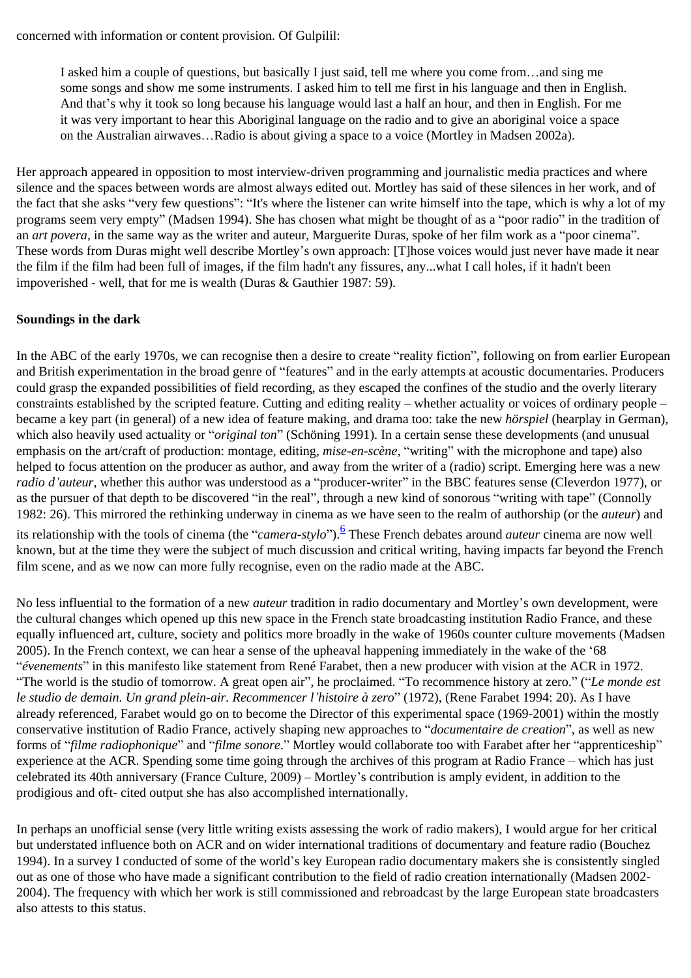I asked him a couple of questions, but basically I just said, tell me where you come from…and sing me some songs and show me some instruments. I asked him to tell me first in his language and then in English. And that's why it took so long because his language would last a half an hour, and then in English. For me it was very important to hear this Aboriginal language on the radio and to give an aboriginal voice a space on the Australian airwaves…Radio is about giving a space to a voice (Mortley in Madsen 2002a).

Her approach appeared in opposition to most interview-driven programming and journalistic media practices and where silence and the spaces between words are almost always edited out. Mortley has said of these silences in her work, and of the fact that she asks "very few questions": "It's where the listener can write himself into the tape, which is why a lot of my programs seem very empty" (Madsen 1994). She has chosen what might be thought of as a "poor radio" in the tradition of an *art povera*, in the same way as the writer and auteur, Marguerite Duras, spoke of her film work as a "poor cinema". These words from Duras might well describe Mortley's own approach: [T]hose voices would just never have made it near the film if the film had been full of images, if the film hadn't any fissures, any...what I call holes, if it hadn't been impoverished - well, that for me is wealth (Duras & Gauthier 1987: 59).

# **Soundings in the dark**

In the ABC of the early 1970s, we can recognise then a desire to create "reality fiction", following on from earlier European and British experimentation in the broad genre of "features" and in the early attempts at acoustic documentaries. Producers could grasp the expanded possibilities of field recording, as they escaped the confines of the studio and the overly literary constraints established by the scripted feature. Cutting and editing reality – whether actuality or voices of ordinary people – became a key part (in general) of a new idea of feature making, and drama too: take the new *hörspiel* (hearplay in German), which also heavily used actuality or "*original ton*" (Schöning 1991). In a certain sense these developments (and unusual emphasis on the art/craft of production: montage, editing, *mise-en-scène*, "writing" with the microphone and tape) also helped to focus attention on the producer as author, and away from the writer of a (radio) script. Emerging here was a new *radio d'auteur,* whether this author was understood as a "producer-writer" in the BBC features sense (Cleverdon 1977), or as the pursuer of that depth to be discovered "in the real", through a new kind of sonorous "writing with tape" (Connolly 1982: 26). This mirrored the rethinking underway in cinema as we have seen to the realm of authorship (or the *auteur*) and

<span id="page-7-0"></span>its relationship with the tools of cinema (the "*camera-stylo*").<sup>[6](#page-12-0)</sup> These French debates around *auteur* cinema are now well known, but at the time they were the subject of much discussion and critical writing, having impacts far beyond the French film scene, and as we now can more fully recognise, even on the radio made at the ABC.

No less influential to the formation of a new *auteur* tradition in radio documentary and Mortley's own development, were the cultural changes which opened up this new space in the French state broadcasting institution Radio France, and these equally influenced art, culture, society and politics more broadly in the wake of 1960s counter culture movements (Madsen 2005). In the French context, we can hear a sense of the upheaval happening immediately in the wake of the '68 "*évenements*" in this manifesto like statement from René Farabet, then a new producer with vision at the ACR in 1972. "The world is the studio of tomorrow. A great open air", he proclaimed. "To recommence history at zero." ("*Le monde est le studio de demain. Un grand plein-air. Recommencer l'histoire à zero*" (1972), (Rene Farabet 1994: 20). As I have already referenced, Farabet would go on to become the Director of this experimental space (1969-2001) within the mostly conservative institution of Radio France, actively shaping new approaches to "*documentaire de creation*", as well as new forms of "*filme radiophonique*" and "*filme sonore*." Mortley would collaborate too with Farabet after her "apprenticeship" experience at the ACR. Spending some time going through the archives of this program at Radio France – which has just celebrated its 40th anniversary (France Culture, 2009) – Mortley's contribution is amply evident, in addition to the prodigious and oft- cited output she has also accomplished internationally.

In perhaps an unofficial sense (very little writing exists assessing the work of radio makers), I would argue for her critical but understated influence both on ACR and on wider international traditions of documentary and feature radio (Bouchez 1994). In a survey I conducted of some of the world's key European radio documentary makers she is consistently singled out as one of those who have made a significant contribution to the field of radio creation internationally (Madsen 2002- 2004). The frequency with which her work is still commissioned and rebroadcast by the large European state broadcasters also attests to this status.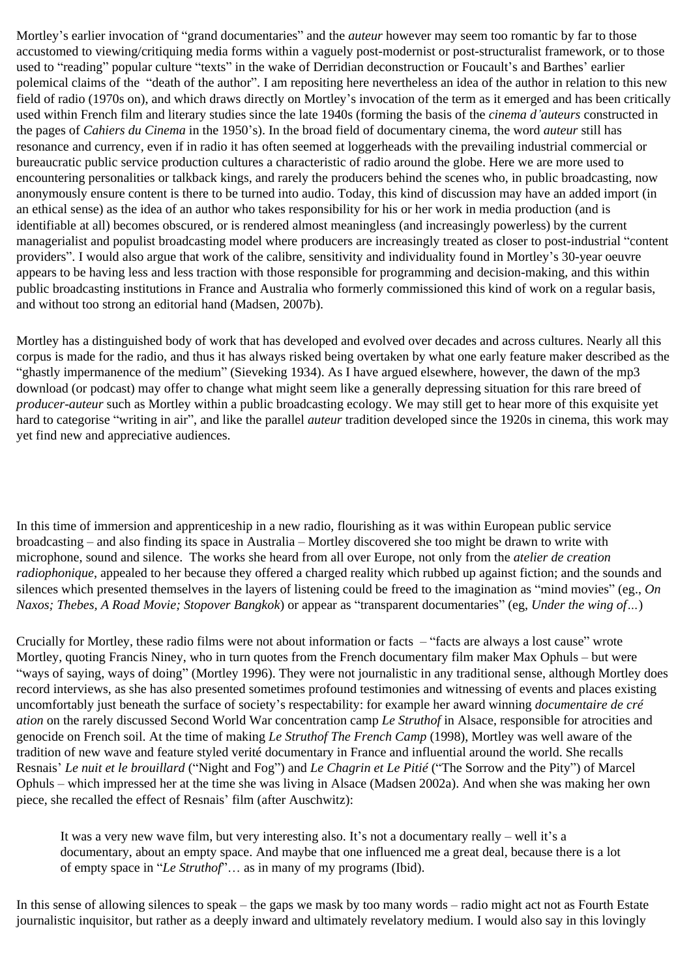Mortley's earlier invocation of "grand documentaries" and the *auteur* however may seem too romantic by far to those accustomed to viewing/critiquing media forms within a vaguely post-modernist or post-structuralist framework, or to those used to "reading" popular culture "texts" in the wake of Derridian deconstruction or Foucault's and Barthes' earlier polemical claims of the "death of the author". I am repositing here nevertheless an idea of the author in relation to this new field of radio (1970s on), and which draws directly on Mortley's invocation of the term as it emerged and has been critically used within French film and literary studies since the late 1940s (forming the basis of the *cinema d'auteurs* constructed in the pages of *Cahiers du Cinema* in the 1950's). In the broad field of documentary cinema, the word *auteur* still has resonance and currency, even if in radio it has often seemed at loggerheads with the prevailing industrial commercial or bureaucratic public service production cultures a characteristic of radio around the globe. Here we are more used to encountering personalities or talkback kings, and rarely the producers behind the scenes who, in public broadcasting, now anonymously ensure content is there to be turned into audio. Today, this kind of discussion may have an added import (in an ethical sense) as the idea of an author who takes responsibility for his or her work in media production (and is identifiable at all) becomes obscured, or is rendered almost meaningless (and increasingly powerless) by the current managerialist and populist broadcasting model where producers are increasingly treated as closer to post-industrial "content providers". I would also argue that work of the calibre, sensitivity and individuality found in Mortley's 30-year oeuvre appears to be having less and less traction with those responsible for programming and decision-making, and this within public broadcasting institutions in France and Australia who formerly commissioned this kind of work on a regular basis, and without too strong an editorial hand (Madsen, 2007b).

Mortley has a distinguished body of work that has developed and evolved over decades and across cultures. Nearly all this corpus is made for the radio, and thus it has always risked being overtaken by what one early feature maker described as the "ghastly impermanence of the medium" (Sieveking 1934). As I have argued elsewhere, however, the dawn of the mp3 download (or podcast) may offer to change what might seem like a generally depressing situation for this rare breed of *producer-auteur* such as Mortley within a public broadcasting ecology. We may still get to hear more of this exquisite yet hard to categorise "writing in air", and like the parallel *auteur* tradition developed since the 1920s in cinema, this work may yet find new and appreciative audiences.

In this time of immersion and apprenticeship in a new radio, flourishing as it was within European public service broadcasting – and also finding its space in Australia – Mortley discovered she too might be drawn to write with microphone, sound and silence. The works she heard from all over Europe, not only from the *atelier de creation radiophonique*, appealed to her because they offered a charged reality which rubbed up against fiction; and the sounds and silences which presented themselves in the layers of listening could be freed to the imagination as "mind movies" (eg., *On Naxos; Thebes, A Road Movie; Stopover Bangkok*) or appear as "transparent documentaries" (eg, *Under the wing of…*)

Crucially for Mortley, these radio films were not about information or facts – "facts are always a lost cause" wrote Mortley, quoting Francis Niney, who in turn quotes from the French documentary film maker Max Ophuls – but were "ways of saying, ways of doing" (Mortley 1996). They were not journalistic in any traditional sense, although Mortley does record interviews, as she has also presented sometimes profound testimonies and witnessing of events and places existing uncomfortably just beneath the surface of society's respectability: for example her award winning *documentaire de cré ation* on the rarely discussed Second World War concentration camp *Le Struthof* in Alsace, responsible for atrocities and genocide on French soil. At the time of making *Le Struthof The French Camp* (1998), Mortley was well aware of the tradition of new wave and feature styled verité documentary in France and influential around the world. She recalls Resnais' *Le nuit et le brouillard* ("Night and Fog") and *Le Chagrin et Le Pitié* ("The Sorrow and the Pity") of Marcel Ophuls – which impressed her at the time she was living in Alsace (Madsen 2002a). And when she was making her own piece, she recalled the effect of Resnais' film (after Auschwitz):

It was a very new wave film, but very interesting also. It's not a documentary really – well it's a documentary, about an empty space. And maybe that one influenced me a great deal, because there is a lot of empty space in "*Le Struthof*"… as in many of my programs (Ibid).

In this sense of allowing silences to speak – the gaps we mask by too many words – radio might act not as Fourth Estate journalistic inquisitor, but rather as a deeply inward and ultimately revelatory medium. I would also say in this lovingly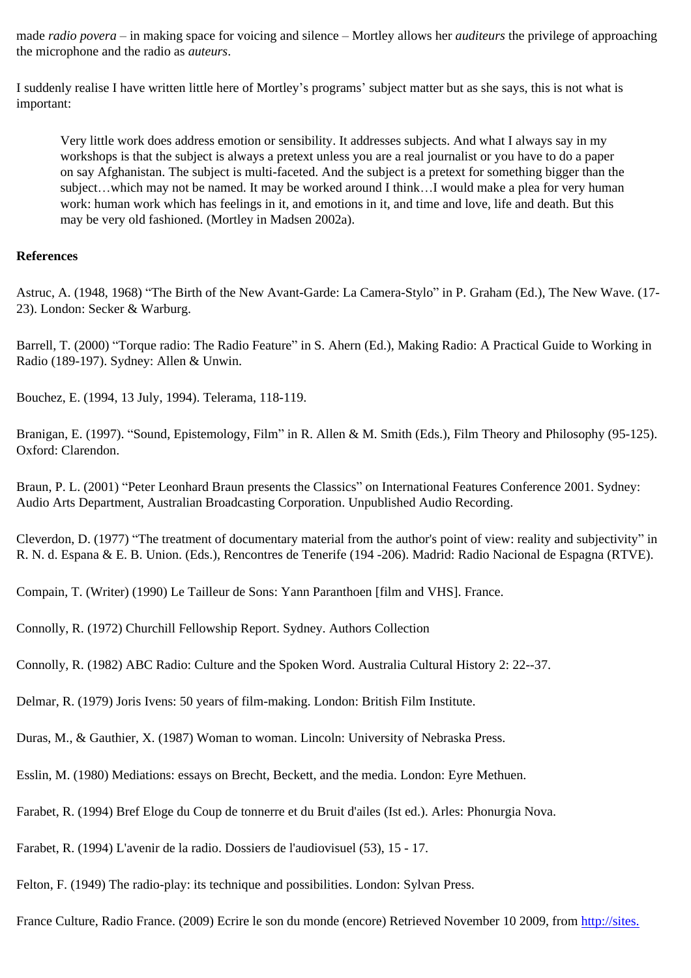made *radio povera* – in making space for voicing and silence – Mortley allows her *auditeurs* the privilege of approaching the microphone and the radio as *auteurs*.

I suddenly realise I have written little here of Mortley's programs' subject matter but as she says, this is not what is important:

Very little work does address emotion or sensibility. It addresses subjects. And what I always say in my workshops is that the subject is always a pretext unless you are a real journalist or you have to do a paper on say Afghanistan. The subject is multi-faceted. And the subject is a pretext for something bigger than the subject…which may not be named. It may be worked around I think…I would make a plea for very human work: human work which has feelings in it, and emotions in it, and time and love, life and death. But this may be very old fashioned. (Mortley in Madsen 2002a).

#### **References**

Astruc, A. (1948, 1968) "The Birth of the New Avant-Garde: La Camera-Stylo" in P. Graham (Ed.), The New Wave. (17- 23). London: Secker & Warburg.

Barrell, T. (2000) "Torque radio: The Radio Feature" in S. Ahern (Ed.), Making Radio: A Practical Guide to Working in Radio (189-197). Sydney: Allen & Unwin.

Bouchez, E. (1994, 13 July, 1994). Telerama, 118-119.

Branigan, E. (1997). "Sound, Epistemology, Film" in R. Allen & M. Smith (Eds.), Film Theory and Philosophy (95-125). Oxford: Clarendon.

Braun, P. L. (2001) "Peter Leonhard Braun presents the Classics" on International Features Conference 2001. Sydney: Audio Arts Department, Australian Broadcasting Corporation. Unpublished Audio Recording.

Cleverdon, D. (1977) "The treatment of documentary material from the author's point of view: reality and subjectivity" in R. N. d. Espana & E. B. Union. (Eds.), Rencontres de Tenerife (194 -206). Madrid: Radio Nacional de Espagna (RTVE).

Compain, T. (Writer) (1990) Le Tailleur de Sons: Yann Paranthoen [film and VHS]. France.

Connolly, R. (1972) Churchill Fellowship Report. Sydney. Authors Collection

Connolly, R. (1982) ABC Radio: Culture and the Spoken Word. Australia Cultural History 2: 22--37.

Delmar, R. (1979) Joris Ivens: 50 years of film-making. London: British Film Institute.

Duras, M., & Gauthier, X. (1987) Woman to woman. Lincoln: University of Nebraska Press.

Esslin, M. (1980) Mediations: essays on Brecht, Beckett, and the media. London: Eyre Methuen.

Farabet, R. (1994) Bref Eloge du Coup de tonnerre et du Bruit d'ailes (Ist ed.). Arles: Phonurgia Nova.

Farabet, R. (1994) L'avenir de la radio. Dossiers de l'audiovisuel (53), 15 - 17.

Felton, F. (1949) The radio-play: its technique and possibilities. London: Sylvan Press.

France Culture, Radio France. (2009) Ecrire le son du monde (encore) Retrieved November 10 2009, from [http://sites.](http://sites.radiofrance.fr/chaines/france-culture2/emissions/acr/presentation.php)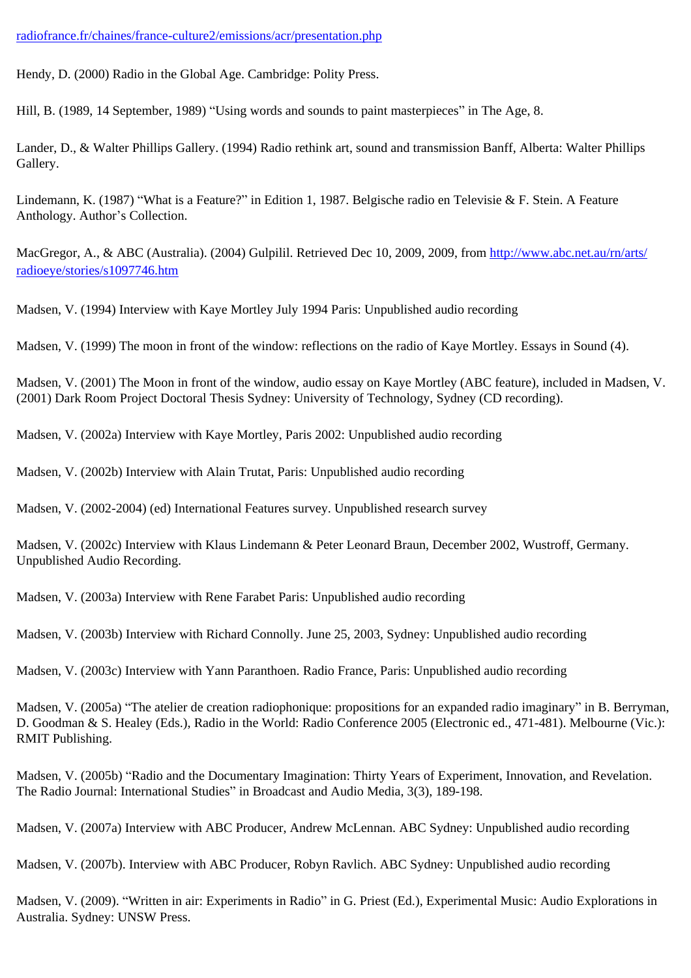### [radiofrance.fr/chaines/france-culture2/emissions/acr/presentation.php](http://sites.radiofrance.fr/chaines/france-culture2/emissions/acr/presentation.php)

Hendy, D. (2000) Radio in the Global Age. Cambridge: Polity Press.

Hill, B. (1989, 14 September, 1989) "Using words and sounds to paint masterpieces" in The Age, 8.

Lander, D., & Walter Phillips Gallery. (1994) Radio rethink art, sound and transmission Banff, Alberta: Walter Phillips Gallery.

Lindemann, K. (1987) "What is a Feature?" in Edition 1, 1987. Belgische radio en Televisie & F. Stein. A Feature Anthology. Author's Collection.

MacGregor, A., & ABC (Australia). (2004) Gulpilil. Retrieved Dec 10, 2009, 2009, from [http://www.abc.net.au/rn/arts/](http://www.abc.net.au/rn/arts/radioeye/stories/s1097746.htm) [radioeye/stories/s1097746.htm](http://www.abc.net.au/rn/arts/radioeye/stories/s1097746.htm)

Madsen, V. (1994) Interview with Kaye Mortley July 1994 Paris: Unpublished audio recording

Madsen, V. (1999) The moon in front of the window: reflections on the radio of Kaye Mortley. Essays in Sound (4).

Madsen, V. (2001) The Moon in front of the window, audio essay on Kaye Mortley (ABC feature), included in Madsen, V. (2001) Dark Room Project Doctoral Thesis Sydney: University of Technology, Sydney (CD recording).

Madsen, V. (2002a) Interview with Kaye Mortley, Paris 2002: Unpublished audio recording

Madsen, V. (2002b) Interview with Alain Trutat, Paris: Unpublished audio recording

Madsen, V. (2002-2004) (ed) International Features survey. Unpublished research survey

Madsen, V. (2002c) Interview with Klaus Lindemann & Peter Leonard Braun, December 2002, Wustroff, Germany. Unpublished Audio Recording.

Madsen, V. (2003a) Interview with Rene Farabet Paris: Unpublished audio recording

Madsen, V. (2003b) Interview with Richard Connolly. June 25, 2003, Sydney: Unpublished audio recording

Madsen, V. (2003c) Interview with Yann Paranthoen. Radio France, Paris: Unpublished audio recording

Madsen, V. (2005a) "The atelier de creation radiophonique: propositions for an expanded radio imaginary" in B. Berryman, D. Goodman & S. Healey (Eds.), Radio in the World: Radio Conference 2005 (Electronic ed., 471-481). Melbourne (Vic.): RMIT Publishing.

Madsen, V. (2005b) "Radio and the Documentary Imagination: Thirty Years of Experiment, Innovation, and Revelation. The Radio Journal: International Studies" in Broadcast and Audio Media, 3(3), 189-198.

Madsen, V. (2007a) Interview with ABC Producer, Andrew McLennan. ABC Sydney: Unpublished audio recording

Madsen, V. (2007b). Interview with ABC Producer, Robyn Ravlich. ABC Sydney: Unpublished audio recording

Madsen, V. (2009). "Written in air: Experiments in Radio" in G. Priest (Ed.), Experimental Music: Audio Explorations in Australia. Sydney: UNSW Press.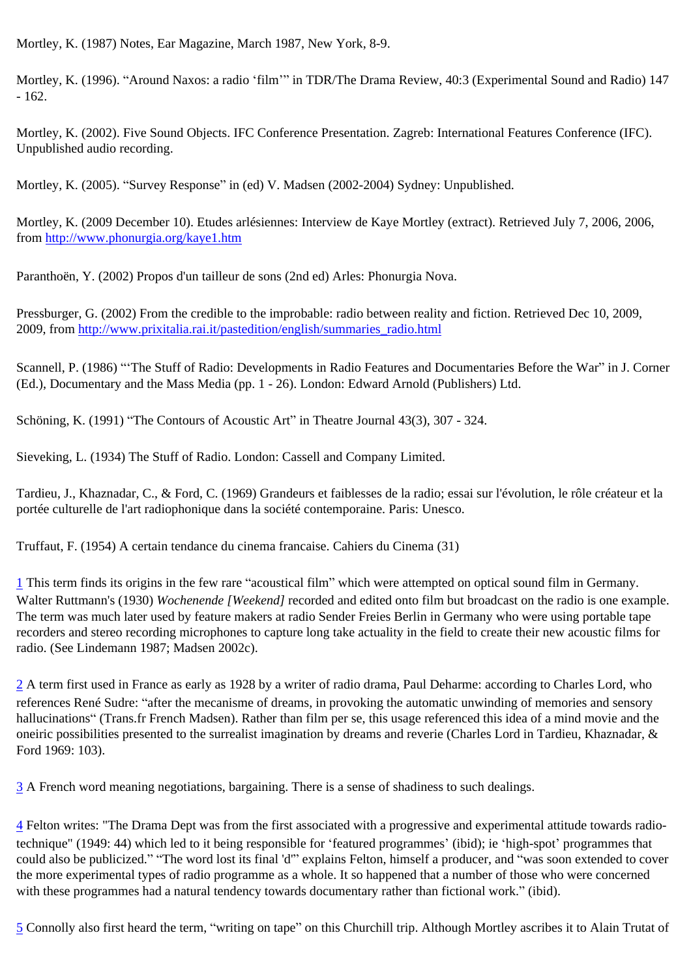Mortley, K. (1987) Notes, Ear Magazine, March 1987, New York, 8-9.

Mortley, K. (1996). "Around Naxos: a radio 'film'" in TDR/The Drama Review, 40:3 (Experimental Sound and Radio) 147  $-162.$ 

Mortley, K. (2002). Five Sound Objects. IFC Conference Presentation. Zagreb: International Features Conference (IFC). Unpublished audio recording.

Mortley, K. (2005). "Survey Response" in (ed) V. Madsen (2002-2004) Sydney: Unpublished.

Mortley, K. (2009 December 10). Etudes arlésiennes: Interview de Kaye Mortley (extract). Retrieved July 7, 2006, 2006, from<http://www.phonurgia.org/kaye1.htm>

Paranthoën, Y. (2002) Propos d'un tailleur de sons (2nd ed) Arles: Phonurgia Nova.

Pressburger, G. (2002) From the credible to the improbable: radio between reality and fiction. Retrieved Dec 10, 2009, 2009, from [http://www.prixitalia.rai.it/pastedition/english/summaries\\_radio.html](http://www.prixitalia.rai.it/pastedition/english/summaries_radio.html)

Scannell, P. (1986) "'The Stuff of Radio: Developments in Radio Features and Documentaries Before the War" in J. Corner (Ed.), Documentary and the Mass Media (pp. 1 - 26). London: Edward Arnold (Publishers) Ltd.

Schöning, K. (1991) "The Contours of Acoustic Art" in Theatre Journal 43(3), 307 - 324.

Sieveking, L. (1934) The Stuff of Radio. London: Cassell and Company Limited.

Tardieu, J., Khaznadar, C., & Ford, C. (1969) Grandeurs et faiblesses de la radio; essai sur l'évolution, le rôle créateur et la portée culturelle de l'art radiophonique dans la société contemporaine. Paris: Unesco.

Truffaut, F. (1954) A certain tendance du cinema francaise. Cahiers du Cinema (31)

<span id="page-11-0"></span>[1](#page-0-0) This term finds its origins in the few rare "acoustical film" which were attempted on optical sound film in Germany. Walter Ruttmann's (1930) *Wochenende [Weekend]* recorded and edited onto film but broadcast on the radio is one example. The term was much later used by feature makers at radio Sender Freies Berlin in Germany who were using portable tape recorders and stereo recording microphones to capture long take actuality in the field to create their new acoustic films for radio. (See Lindemann 1987; Madsen 2002c).

<span id="page-11-1"></span>[2](#page-2-0) A term first used in France as early as 1928 by a writer of radio drama, Paul Deharme: according to Charles Lord, who references René Sudre: "after the mecanisme of dreams, in provoking the automatic unwinding of memories and sensory hallucinations" (Trans.fr French Madsen). Rather than film per se, this usage referenced this idea of a mind movie and the oneiric possibilities presented to the surrealist imagination by dreams and reverie (Charles Lord in Tardieu, Khaznadar, & Ford 1969: 103).

<span id="page-11-2"></span>[3](#page-5-0) A French word meaning negotiations, bargaining. There is a sense of shadiness to such dealings.

<span id="page-11-3"></span>[4](#page-5-1) Felton writes: "The Drama Dept was from the first associated with a progressive and experimental attitude towards radiotechnique" (1949: 44) which led to it being responsible for 'featured programmes' (ibid); ie 'high-spot' programmes that could also be publicized." "The word lost its final 'd'" explains Felton, himself a producer, and "was soon extended to cover the more experimental types of radio programme as a whole. It so happened that a number of those who were concerned with these programmes had a natural tendency towards documentary rather than fictional work." (ibid).

<span id="page-11-4"></span>[5](#page-6-0) Connolly also first heard the term, "writing on tape" on this Churchill trip. Although Mortley ascribes it to Alain Trutat of